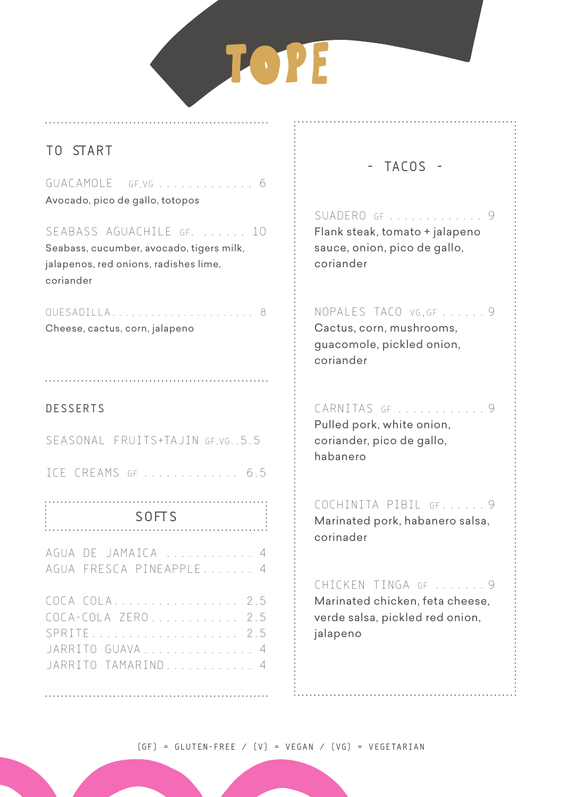# TOPE

## **TO START**

GUACAMOLE GF,VG ............. 6 Avocado, pico de gallo, totopos

SEABASS AGUACHILE GF. ...... 10 Seabass, cucumber, avocado, tigers milk, jalapenos, red onions, radishes lime, coriander

quesadilla...................... 8 Cheese, cactus, corn, jalapeno

#### **DESSERTS**

Seasonal fruits+Tajin GF,VG..5.5 ice creams GF ............. 6.5 AGUA DE JAMAICA ............ 4 AGUA FRESCA PINEAPPLE....... 4 COCA COLA................. 2.5 COCA-COLA ZERO............ 2.5 SPRITE.................... 2.5 JARRITO GUAVA............... 4 JARRITO TAMARIND............ 4 **SOFTS**

## **- TACOS -**

SUADERO GF . . . . . . . . . . . . . 9 Flank steak, tomato + jalapeno sauce, onion, pico de gallo, coriander

nopales taco vg,gf ...... 9 Cactus, corn, mushrooms, guacomole, pickled onion, coriander

CARNITAS GE .......................9 Pulled pork, white onion, coriander, pico de gallo, habanero

Cochinita pibil gf...... 9 Marinated pork, habanero salsa, corinader

cHICKEN tINGA gf ....... 9 Marinated chicken, feta cheese, verde salsa, pickled red onion, jalapeno